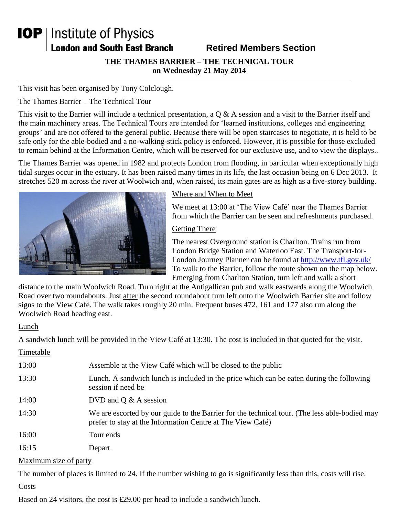# **IOP** | Institute of Physics **London and South East Branch**

# **Retired Members Section**

**THE THAMES BARRIER – THE TECHNICAL TOUR on Wednesday 21 May 2014**

This visit has been organised by Tony Colclough.

#### The Thames Barrier – The Technical Tour

This visit to the Barrier will include a technical presentation, a  $Q & A$  session and a visit to the Barrier itself and the main machinery areas. The Technical Tours are intended for 'learned institutions, colleges and engineering groups' and are not offered to the general public. Because there will be open staircases to negotiate, it is held to be safe only for the able-bodied and a no-walking-stick policy is enforced. However, it is possible for those excluded to remain behind at the Information Centre, which will be reserved for our exclusive use, and to view the displays..

The Thames Barrier was opened in 1982 and protects London from flooding, in particular when exceptionally high tidal surges occur in the estuary. It has been raised many times in its life, the last occasion being on 6 Dec 2013. It stretches 520 m across the river at Woolwich and, when raised, its main gates are as high as a five-storey building.



#### Where and When to Meet

We meet at 13:00 at 'The View Café' near the Thames Barrier from which the Barrier can be seen and refreshments purchased.

#### Getting There

The nearest Overground station is Charlton. Trains run from London Bridge Station and Waterloo East. The Transport-for-London Journey Planner can be found at<http://www.tfl.gov.uk/> To walk to the Barrier, follow the route shown on the map below. Emerging from Charlton Station, turn left and walk a short

distance to the main Woolwich Road. Turn right at the Antigallican pub and walk eastwards along the Woolwich Road over two roundabouts. Just after the second roundabout turn left onto the Woolwich Barrier site and follow signs to the View Café. The walk takes roughly 20 min. Frequent buses 472, 161 and 177 also run along the Woolwich Road heading east.

#### Lunch

A sandwich lunch will be provided in the View Café at 13:30. The cost is included in that quoted for the visit.

| Timetable             |                                                                                                                                                             |
|-----------------------|-------------------------------------------------------------------------------------------------------------------------------------------------------------|
| 13:00                 | Assemble at the View Café which will be closed to the public                                                                                                |
| 13:30                 | Lunch. A sandwich lunch is included in the price which can be eaten during the following<br>session if need be                                              |
| 14:00                 | DVD and $Q & A$ session                                                                                                                                     |
| 14:30                 | We are escorted by our guide to the Barrier for the technical tour. (The less able-bodied may<br>prefer to stay at the Information Centre at The View Café) |
| 16:00                 | Tour ends                                                                                                                                                   |
| 16:15                 | Depart.                                                                                                                                                     |
| Maximum size of party |                                                                                                                                                             |

The number of places is limited to 24. If the number wishing to go is significantly less than this, costs will rise.

#### **Costs**

Based on 24 visitors, the cost is £29.00 per head to include a sandwich lunch.